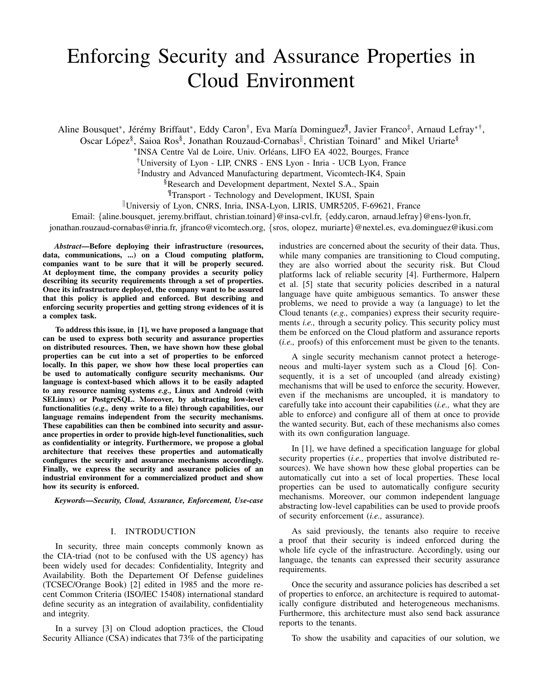# Enforcing Security and Assurance Properties in Cloud Environment

Aline Bousquet\*, Jérémy Briffaut\*, Eddy Caron<sup>†</sup>, Eva María Dominguez<sup>¶</sup>, Javier Franco‡, Arnaud Lefray\*<sup>†</sup>,

Oscar López<sup>§</sup>, Saioa Ros<sup>§</sup>, Jonathan Rouzaud-Cornabas<sup>||</sup>, Christian Toinard<sup>\*</sup> and Mikel Uriarte<sup>§</sup>

∗ INSA Centre Val de Loire, Univ. Orleans, LIFO EA 4022, Bourges, France ´

†University of Lyon - LIP, CNRS - ENS Lyon - Inria - UCB Lyon, France

‡ Industry and Advanced Manufacturing department, Vicomtech-IK4, Spain

§Research and Development department, Nextel S.A., Spain

¶Transport - Technology and Development, IKUSI, Spain

Universiy of Lyon, CNRS, Inria, INSA-Lyon, LIRIS, UMR5205, F-69621, France

Email: {aline.bousquet, jeremy.briffaut, christian.toinard}@insa-cvl.fr, {eddy.caron, arnaud.lefray}@ens-lyon.fr,

jonathan.rouzaud-cornabas@inria.fr, jfranco@vicomtech.org, {sros, olopez, muriarte}@nextel.es, eva.dominguez@ikusi.com

*Abstract*—Before deploying their infrastructure (resources, data, communications, ...) on a Cloud computing platform, companies want to be sure that it will be properly secured. At deployment time, the company provides a security policy describing its security requirements through a set of properties. Once its infrastructure deployed, the company want to be assured that this policy is applied and enforced. But describing and enforcing security properties and getting strong evidences of it is a complex task.

To address this issue, in [1], we have proposed a language that can be used to express both security and assurance properties on distributed resources. Then, we have shown how these global properties can be cut into a set of properties to be enforced locally. In this paper, we show how these local properties can be used to automatically configure security mechanisms. Our language is context-based which allows it to be easily adapted to any resource naming systems *e.g.,* Linux and Android (with SELinux) or PostgreSQL. Moreover, by abstracting low-level functionalities (*e.g.,* deny write to a file) through capabilities, our language remains independent from the security mechanisms. These capabilities can then be combined into security and assurance properties in order to provide high-level functionalities, such as confidentiality or integrity. Furthermore, we propose a global architecture that receives these properties and automatically configures the security and assurance mechanisms accordingly. Finally, we express the security and assurance policies of an industrial environment for a commercialized product and show how its security is enforced.

*Keywords*—*Security, Cloud, Assurance, Enforcement, Use-case*

#### I. INTRODUCTION

In security, three main concepts commonly known as the CIA-triad (not to be confused with the US agency) has been widely used for decades: Confidentiality, Integrity and Availability. Both the Departement Of Defense guidelines (TCSEC/Orange Book) [2] edited in 1985 and the more recent Common Criteria (ISO/IEC 15408) international standard define security as an integration of availability, confidentiality and integrity.

In a survey [3] on Cloud adoption practices, the Cloud Security Alliance (CSA) indicates that 73% of the participating industries are concerned about the security of their data. Thus, while many companies are transitioning to Cloud computing, they are also worried about the security risk. But Cloud platforms lack of reliable security [4]. Furthermore, Halpern et al. [5] state that security policies described in a natural language have quite ambiguous semantics. To answer these problems, we need to provide a way (a language) to let the Cloud tenants (*e.g.,* companies) express their security requirements *i.e.,* through a security policy. This security policy must them be enforced on the Cloud platform and assurance reports (*i.e.,* proofs) of this enforcement must be given to the tenants.

A single security mechanism cannot protect a heterogeneous and multi-layer system such as a Cloud [6]. Consequently, it is a set of uncoupled (and already existing) mechanisms that will be used to enforce the security. However, even if the mechanisms are uncoupled, it is mandatory to carefully take into account their capabilities (*i.e.,* what they are able to enforce) and configure all of them at once to provide the wanted security. But, each of these mechanisms also comes with its own configuration language.

In [1], we have defined a specification language for global security properties (*i.e.,* properties that involve distributed resources). We have shown how these global properties can be automatically cut into a set of local properties. These local properties can be used to automatically configure security mechanisms. Moreover, our common independent language abstracting low-level capabilities can be used to provide proofs of security enforcement (*i.e.,* assurance).

As said previously, the tenants also require to receive a proof that their security is indeed enforced during the whole life cycle of the infrastructure. Accordingly, using our language, the tenants can expressed their security assurance requirements.

Once the security and assurance policies has described a set of properties to enforce, an architecture is required to automatically configure distributed and heterogeneous mechanisms. Furthermore, this architecture must also send back assurance reports to the tenants.

To show the usability and capacities of our solution, we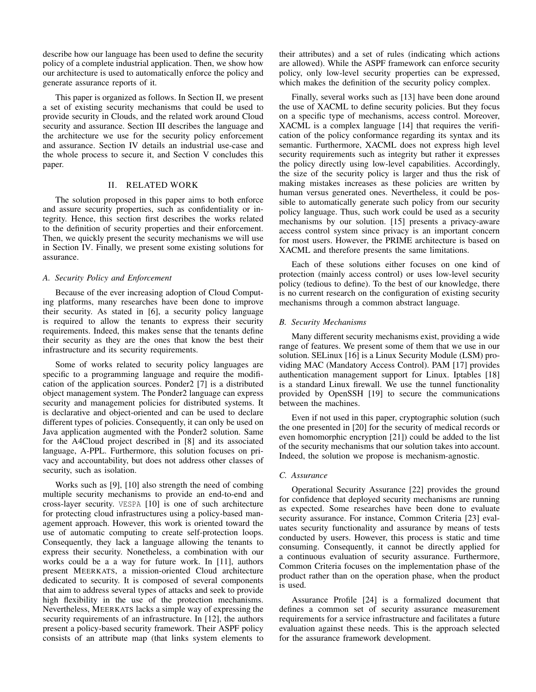describe how our language has been used to define the security policy of a complete industrial application. Then, we show how our architecture is used to automatically enforce the policy and generate assurance reports of it.

This paper is organized as follows. In Section II, we present a set of existing security mechanisms that could be used to provide security in Clouds, and the related work around Cloud security and assurance. Section III describes the language and the architecture we use for the security policy enforcement and assurance. Section IV details an industrial use-case and the whole process to secure it, and Section V concludes this paper.

### II. RELATED WORK

The solution proposed in this paper aims to both enforce and assure security properties, such as confidentiality or integrity. Hence, this section first describes the works related to the definition of security properties and their enforcement. Then, we quickly present the security mechanisms we will use in Section IV. Finally, we present some existing solutions for assurance.

## *A. Security Policy and Enforcement*

Because of the ever increasing adoption of Cloud Computing platforms, many researches have been done to improve their security. As stated in [6], a security policy language is required to allow the tenants to express their security requirements. Indeed, this makes sense that the tenants define their security as they are the ones that know the best their infrastructure and its security requirements.

Some of works related to security policy languages are specific to a programming language and require the modification of the application sources. Ponder2 [7] is a distributed object management system. The Ponder2 language can express security and management policies for distributed systems. It is declarative and object-oriented and can be used to declare different types of policies. Consequently, it can only be used on Java application augmented with the Ponder2 solution. Same for the A4Cloud project described in [8] and its associated language, A-PPL. Furthermore, this solution focuses on privacy and accountability, but does not address other classes of security, such as isolation.

Works such as [9], [10] also strength the need of combing multiple security mechanisms to provide an end-to-end and cross-layer security. VESPA [10] is one of such architecture for protecting cloud infrastructures using a policy-based management approach. However, this work is oriented toward the use of automatic computing to create self-protection loops. Consequently, they lack a language allowing the tenants to express their security. Nonetheless, a combination with our works could be a a way for future work. In [11], authors present MEERKATS, a mission-oriented Cloud architecture dedicated to security. It is composed of several components that aim to address several types of attacks and seek to provide high flexibility in the use of the protection mechanisms. Nevertheless, MEERKATS lacks a simple way of expressing the security requirements of an infrastructure. In [12], the authors present a policy-based security framework. Their ASPF policy consists of an attribute map (that links system elements to their attributes) and a set of rules (indicating which actions are allowed). While the ASPF framework can enforce security policy, only low-level security properties can be expressed, which makes the definition of the security policy complex.

Finally, several works such as [13] have been done around the use of XACML to define security policies. But they focus on a specific type of mechanisms, access control. Moreover, XACML is a complex language [14] that requires the verification of the policy conformance regarding its syntax and its semantic. Furthermore, XACML does not express high level security requirements such as integrity but rather it expresses the policy directly using low-level capabilities. Accordingly, the size of the security policy is larger and thus the risk of making mistakes increases as these policies are written by human versus generated ones. Nevertheless, it could be possible to automatically generate such policy from our security policy language. Thus, such work could be used as a security mechanisms by our solution. [15] presents a privacy-aware access control system since privacy is an important concern for most users. However, the PRIME architecture is based on XACML and therefore presents the same limitations.

Each of these solutions either focuses on one kind of protection (mainly access control) or uses low-level security policy (tedious to define). To the best of our knowledge, there is no current research on the configuration of existing security mechanisms through a common abstract language.

## *B. Security Mechanisms*

Many different security mechanisms exist, providing a wide range of features. We present some of them that we use in our solution. SELinux [16] is a Linux Security Module (LSM) providing MAC (Mandatory Access Control). PAM [17] provides authentication management support for Linux. Iptables [18] is a standard Linux firewall. We use the tunnel functionality provided by OpenSSH [19] to secure the communications between the machines.

Even if not used in this paper, cryptographic solution (such the one presented in [20] for the security of medical records or even homomorphic encryption [21]) could be added to the list of the security mechanisms that our solution takes into account. Indeed, the solution we propose is mechanism-agnostic.

## *C. Assurance*

Operational Security Assurance [22] provides the ground for confidence that deployed security mechanisms are running as expected. Some researches have been done to evaluate security assurance. For instance, Common Criteria [23] evaluates security functionality and assurance by means of tests conducted by users. However, this process is static and time consuming. Consequently, it cannot be directly applied for a continuous evaluation of security assurance. Furthermore, Common Criteria focuses on the implementation phase of the product rather than on the operation phase, when the product is used.

Assurance Profile [24] is a formalized document that defines a common set of security assurance measurement requirements for a service infrastructure and facilitates a future evaluation against these needs. This is the approach selected for the assurance framework development.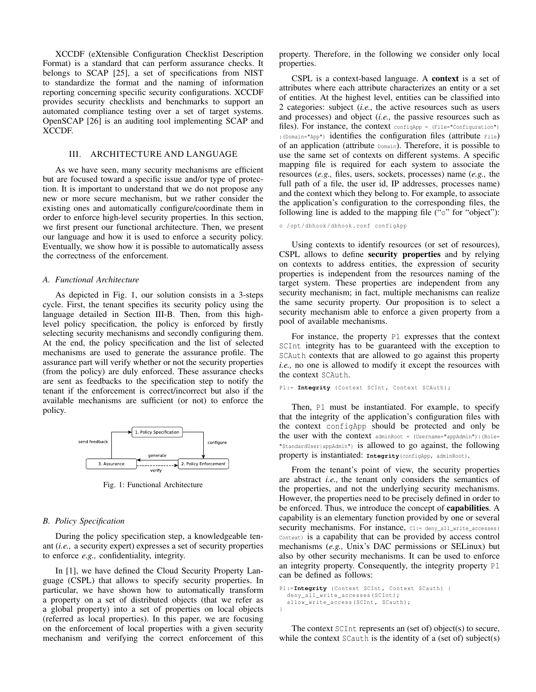XCCDF (eXtensible Configuration Checklist Description Format) is a standard that can perform assurance checks. It belongs to SCAP [25], a set of specifications from NIST to standardize the format and the naming of information reporting concerning specific security configurations. XCCDF provides security checklists and benchmarks to support an automated compliance testing over a set of target systems. OpenSCAP [26] is an auditing tool implementing SCAP and XCCDF.

## III. ARCHITECTURE AND LANGUAGE

As we have seen, many security mechanisms are efficient but are focused toward a specific issue and/or type of protection. It is important to understand that we do not propose any new or more secure mechanism, but we rather consider the existing ones and automatically configure/coordinate them in order to enforce high-level security properties. In this section, we first present our functional architecture. Then, we present our language and how it is used to enforce a security policy. Eventually, we show how it is possible to automatically assess the correctness of the enforcement.

#### *A. Functional Architecture*

As depicted in Fig. 1, our solution consists in a 3-steps cycle. First, the tenant specifies its security policy using the language detailed in Section III-B. Then, from this highlevel policy specification, the policy is enforced by firstly selecting security mechanisms and secondly configuring them. At the end, the policy specification and the list of selected mechanisms are used to generate the assurance profile. The assurance part will verify whether or not the security properties (from the policy) are duly enforced. These assurance checks are sent as feedbacks to the specification step to notify the tenant if the enforcement is correct/incorrect but also if the available mechanisms are sufficient (or not) to enforce the policy.



Fig. 1: Functional Architecture

#### *B. Policy Specification*

During the policy specification step, a knowledgeable tenant (*i.e.,* a security expert) expresses a set of security properties to enforce *e.g.,* confidentiality, integrity.

In [1], we have defined the Cloud Security Property Language (CSPL) that allows to specify security properties. In particular, we have shown how to automatically transform a property on a set of distributed objects (that we refer as a global property) into a set of properties on local objects (referred as local properties). In this paper, we are focusing on the enforcement of local properties with a given security mechanism and verifying the correct enforcement of this property. Therefore, in the following we consider only local properties.

CSPL is a context-based language. A context is a set of attributes where each attribute characterizes an entity or a set of entities. At the highest level, entities can be classified into 2 categories: subject (*i.e.,* the active resources such as users and processes) and object (*i.e.,* the passive resources such as files). For instance, the context  $\text{configApp} = (\text{File="Configuration")}$ :(Domain="App") identifies the configuration files (attribute File) of an application (attribute Domain). Therefore, it is possible to use the same set of contexts on different systems. A specific mapping file is required for each system to associate the resources (*e.g.,* files, users, sockets, processes) name (*e.g.,* the full path of a file, the user id, IP addresses, processes name) and the context which they belong to. For example, to associate the application's configuration to the corresponding files, the following line is added to the mapping file ("o" for "object"):

#### o / opt / dbhook / dbhook . conf configApp

Using contexts to identify resources (or set of resources), CSPL allows to define security properties and by relying on contexts to address entities, the expression of security properties is independent from the resources naming of the target system. These properties are independent from any security mechanism; in fact, multiple mechanisms can realize the same security property. Our proposition is to select a security mechanism able to enforce a given property from a pool of available mechanisms.

For instance, the property P1 expresses that the context SCInt integrity has to be guaranteed with the exception to SCAuth contexts that are allowed to go against this property *i.e.,* no one is allowed to modify it except the resources with the context SCAuth.

#### P1 := **Integrity** (Context SCInt, Context SCAuth);

Then, P1 must be instantiated. For example, to specify that the integrity of the application's configuration files with the context configApp should be protected and only be the user with the context adminRoot = (Username="appAdmin"):(Role= "StandardUser|appAdmin") is allowed to go against, the following property is instantiated: **Integrity**(configApp, adminRoot).

From the tenant's point of view, the security properties are abstract *i.e.,* the tenant only considers the semantics of the properties, and not the underlying security mechanisms. However, the properties need to be precisely defined in order to be enforced. Thus, we introduce the concept of capabilities. A capability is an elementary function provided by one or several security mechanisms. For instance, C1:= deny\_all\_write\_accesses( Context) is a capability that can be provided by access control mechanisms (*e.g.,* Unix's DAC permissions or SELinux) but also by other security mechanisms. It can be used to enforce an integrity property. Consequently, the integrity property P1 can be defined as follows:

```
P1 := Integrity (Context SCInt, Context SCauth) {
  deny_all_write_accesses ( SCInt );
  allow_write_access (SCInt, SCauth);
}
```
The context SCInt represents an (set of) object(s) to secure, while the context SCauth is the identity of a (set of) subject(s)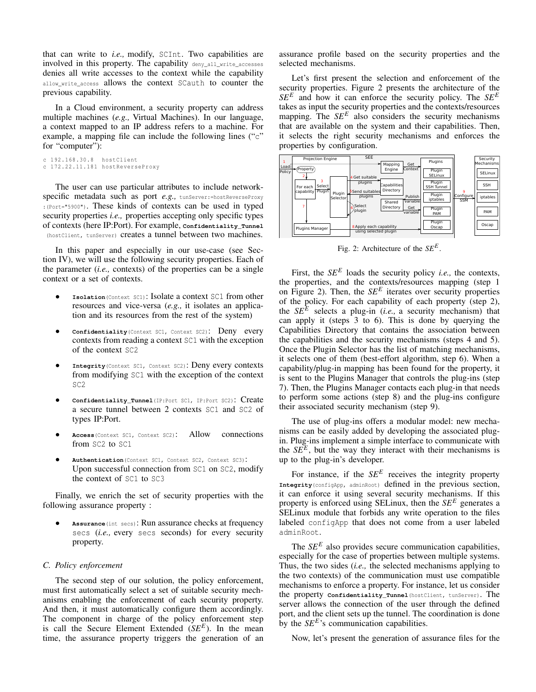that can write to *i.e.,* modify, SCInt. Two capabilities are involved in this property. The capability deny\_all\_write\_accesses denies all write accesses to the context while the capability allow write access allows the context SCauth to counter the previous capability.

In a Cloud environment, a security property can address multiple machines (*e.g.,* Virtual Machines). In our language, a context mapped to an IP address refers to a machine. For example, a mapping file can include the following lines  $(\mathcal{C})$ for "computer"):

```
c 192.168.30.8 hostClient
c 172.22.11.181 hostReverseProxy
```
The user can use particular attributes to include networkspecific metadata such as port *e.g.*, tunServer:=hostReverseProxy :(Port="5900"). These kinds of contexts can be used in typed security properties *i.e.*, properties accepting only specific types of contexts (here IP:Port). For example, **Confidentiality\_Tunnel** (hostClient, tunServer) **creates a tunnel between two machines.** 

In this paper and especially in our use-case (see Section IV), we will use the following security properties. Each of the parameter (*i.e.,* contexts) of the properties can be a single context or a set of contexts.

- **Isolation**(Context SC1): Isolate a context SC1 from other resources and vice-versa (*e.g.,* it isolates an application and its resources from the rest of the system)
- **Confidentiality**(Context SC1, Context SC2): Deny every contexts from reading a context SC1 with the exception of the context SC2
- **Integrity**(Context SC1, Context SC2): Deny every contexts from modifying SC1 with the exception of the context SC2
- **Confidentiality\_Tunnel**(IP:Port SC1, IP:Port SC2): Create a secure tunnel between 2 contexts SC1 and SC2 of types IP:Port.
- **Access**(Context SC1, Context SC2): Allow connections from SC2 to SC1
- **Authentication**(Context SC1, Context SC2, Context SC3): Upon successful connection from SC1 on SC2, modify the context of SC1 to SC3

Finally, we enrich the set of security properties with the following assurance property :

• **Assurance**(int secs): Run assurance checks at frequency secs (*i.e.,* every secs seconds) for every security property.

#### *C. Policy enforcement*

The second step of our solution, the policy enforcement, must first automatically select a set of suitable security mechanisms enabling the enforcement of each security property. And then, it must automatically configure them accordingly. The component in charge of the policy enforcement step is call the Secure Element Extended (*SE<sup>E</sup>* ). In the mean time, the assurance property triggers the generation of an assurance profile based on the security properties and the selected mechanisms.

Let's first present the selection and enforcement of the security properties. Figure 2 presents the architecture of the *SE<sup>E</sup>* and how it can enforce the security policy. The *SE<sup>E</sup>* takes as input the security properties and the contexts/resources mapping. The  $SE<sup>E</sup>$  also considers the security mechanisms that are available on the system and their capabilities. Then, it selects the right security mechanisms and enforces the properties by configuration.



Fig. 2: Architecture of the *SE<sup>E</sup>* .

First, the  $SE^E$  loads the security policy *i.e.*, the contexts, the properties, and the contexts/resources mapping (step 1 on Figure 2). Then, the  $SE^E$  iterates over security properties of the policy. For each capability of each property (step 2), the  $SE^E$  selects a plug-in (*i.e.*, a security mechanism) that can apply it (steps 3 to 6). This is done by querying the Capabilities Directory that contains the association between the capabilities and the security mechanisms (steps 4 and 5). Once the Plugin Selector has the list of matching mechanisms, it selects one of them (best-effort algorithm, step 6). When a capability/plug-in mapping has been found for the property, it is sent to the Plugins Manager that controls the plug-ins (step 7). Then, the Plugins Manager contacts each plug-in that needs to perform some actions (step 8) and the plug-ins configure their associated security mechanism (step 9).

The use of plug-ins offers a modular model: new mechanisms can be easily added by developing the associated plugin. Plug-ins implement a simple interface to communicate with the  $SE^E$ , but the way they interact with their mechanisms is up to the plug-in's developer.

For instance, if the  $SE<sup>E</sup>$  receives the integrity property **Integrity**(configApp, adminRoot) defined in the previous section, it can enforce it using several security mechanisms. If this property is enforced using SELinux, then the *SE<sup>E</sup>* generates a SELinux module that forbids any write operation to the files labeled configApp that does not come from a user labeled adminRoot.

The *SE<sup>E</sup>* also provides secure communication capabilities, especially for the case of properties between multiple systems. Thus, the two sides (*i.e.,* the selected mechanisms applying to the two contexts) of the communication must use compatible mechanisms to enforce a property. For instance, let us consider the property **Confidentiality\_Tunnel**(hostClient, tunServer). The server allows the connection of the user through the defined port, and the client sets up the tunnel. The coordination is done by the *SE<sup>E*</sup>'s communication capabilities.

Now, let's present the generation of assurance files for the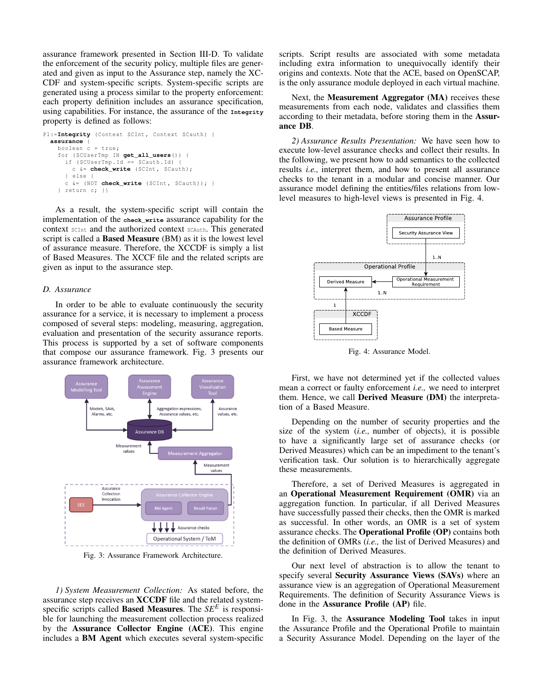assurance framework presented in Section III-D. To validate the enforcement of the security policy, multiple files are generated and given as input to the Assurance step, namely the XC-CDF and system-specific scripts. System-specific scripts are generated using a process similar to the property enforcement: each property definition includes an assurance specification, using capabilities. For instance, the assurance of the **Integrity** property is defined as follows:

```
P1 :=Integrity ( Context SCInt , Context SCauth ) {
  assurance {
    boolean c = true;
    for ( SCUserTmp IN get_all_users() ) {
      if (SCUserTmp. Id == Scauth. Id) {
        c &= check write ( SCInt, SCauth );
      } else {
      c \&= (NOT check write (SCInt, SCauth)); }
    } return c; }}
```
As a result, the system-specific script will contain the implementation of the **check\_write** assurance capability for the context SCInt and the authorized context SCAuth. This generated script is called a **Based Measure** (BM) as it is the lowest level of assurance measure. Therefore, the XCCDF is simply a list of Based Measures. The XCCF file and the related scripts are given as input to the assurance step.

#### *D. Assurance*

In order to be able to evaluate continuously the security assurance for a service, it is necessary to implement a process composed of several steps: modeling, measuring, aggregation, evaluation and presentation of the security assurance reports. This process is supported by a set of software components that compose our assurance framework. Fig. 3 presents our assurance framework architecture.



Fig. 3: Assurance Framework Architecture.

*1) System Measurement Collection:* As stated before, the assurance step receives an XCCDF file and the related systemspecific scripts called Based Measures. The *SE<sup>E</sup>* is responsible for launching the measurement collection process realized by the Assurance Collector Engine (ACE). This engine includes a BM Agent which executes several system-specific scripts. Script results are associated with some metadata including extra information to unequivocally identify their origins and contexts. Note that the ACE, based on OpenSCAP, is the only assurance module deployed in each virtual machine.

Next, the Measurement Aggregator (MA) receives these measurements from each node, validates and classifies them according to their metadata, before storing them in the Assurance DB.

*2) Assurance Results Presentation:* We have seen how to execute low-level assurance checks and collect their results. In the following, we present how to add semantics to the collected results *i.e.,* interpret them, and how to present all assurance checks to the tenant in a modular and concise manner. Our assurance model defining the entities/files relations from lowlevel measures to high-level views is presented in Fig. 4.



Fig. 4: Assurance Model.

First, we have not determined yet if the collected values mean a correct or faulty enforcement *i.e.,* we need to interpret them. Hence, we call Derived Measure (DM) the interpretation of a Based Measure.

Depending on the number of security properties and the size of the system (*i.e.,* number of objects), it is possible to have a significantly large set of assurance checks (or Derived Measures) which can be an impediment to the tenant's verification task. Our solution is to hierarchically aggregate these measurements.

Therefore, a set of Derived Measures is aggregated in an Operational Measurement Requirement (OMR) via an aggregation function. In particular, if all Derived Measures have successfully passed their checks, then the OMR is marked as successful. In other words, an OMR is a set of system assurance checks. The Operational Profile (OP) contains both the definition of OMRs (*i.e.,* the list of Derived Measures) and the definition of Derived Measures.

Our next level of abstraction is to allow the tenant to specify several Security Assurance Views (SAVs) where an assurance view is an aggregation of Operational Measurement Requirements. The definition of Security Assurance Views is done in the Assurance Profile (AP) file.

In Fig. 3, the Assurance Modeling Tool takes in input the Assurance Profile and the Operational Profile to maintain a Security Assurance Model. Depending on the layer of the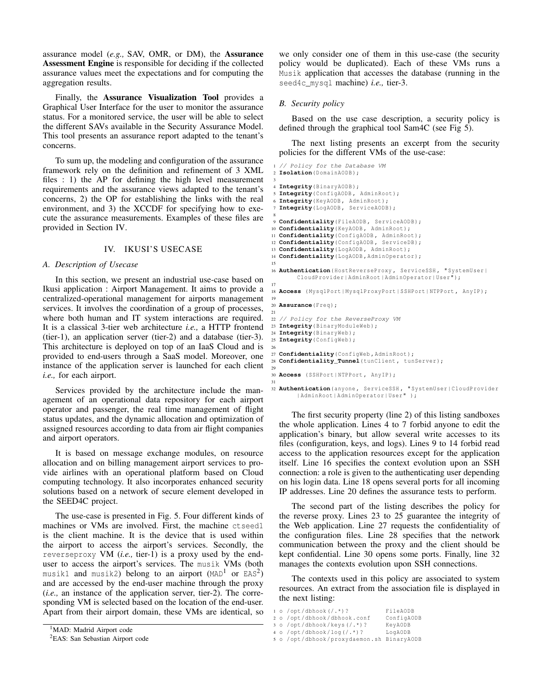assurance model (*e.g.,* SAV, OMR, or DM), the Assurance Assessment Engine is responsible for deciding if the collected assurance values meet the expectations and for computing the aggregation results.

Finally, the Assurance Visualization Tool provides a Graphical User Interface for the user to monitor the assurance status. For a monitored service, the user will be able to select the different SAVs available in the Security Assurance Model. This tool presents an assurance report adapted to the tenant's concerns.

To sum up, the modeling and configuration of the assurance framework rely on the definition and refinement of 3 XML files : 1) the AP for defining the high level measurement requirements and the assurance views adapted to the tenant's concerns, 2) the OP for establishing the links with the real environment, and 3) the XCCDF for specifying how to execute the assurance measurements. Examples of these files are provided in Section IV.

## IV. IKUSI'S USECASE

## *A. Description of Usecase*

In this section, we present an industrial use-case based on Ikusi application : Airport Management. It aims to provide a centralized-operational management for airports management services. It involves the coordination of a group of processes, where both human and IT system interactions are required. It is a classical 3-tier web architecture *i.e.,* a HTTP frontend (tier-1), an application server (tier-2) and a database (tier-3). This architecture is deployed on top of an IaaS Cloud and is provided to end-users through a SaaS model. Moreover, one instance of the application server is launched for each client *i.e.,* for each airport.

Services provided by the architecture include the management of an operational data repository for each airport operator and passenger, the real time management of flight status updates, and the dynamic allocation and optimization of assigned resources according to data from air flight companies and airport operators.

It is based on message exchange modules, on resource allocation and on billing management airport services to provide airlines with an operational platform based on Cloud computing technology. It also incorporates enhanced security solutions based on a network of secure element developed in the SEED4C project.

The use-case is presented in Fig. 5. Four different kinds of machines or VMs are involved. First, the machine ctseed1 is the client machine. It is the device that is used within the airport to access the airport's services. Secondly, the reverseproxy VM (*i.e.,* tier-1) is a proxy used by the enduser to access the airport's services. The musik VMs (both <code>musik1</code> and <code>musik2</code>) belong to an airport (MAD $^1$  or EAS $^2$ ) and are accessed by the end-user machine through the proxy (*i.e.,* an instance of the application server, tier-2). The corresponding VM is selected based on the location of the end-user. Apart from their airport domain, these VMs are identical, so

```
<sup>1</sup>MAD: Madrid Airport code
```

```
2EAS: San Sebastian Airport code
```
we only consider one of them in this use-case (the security policy would be duplicated). Each of these VMs runs a Musik application that accesses the database (running in the seed4c\_mysql machine) *i.e.,* tier-3.

## *B. Security policy*

Based on the use case description, a security policy is defined through the graphical tool Sam4C (see Fig 5).

The next listing presents an excerpt from the security policies for the different VMs of the use-case:

```
1 // Policy for the Database VM
 2 Isolation( DomainAODB );
 3
  4 Integrity( BinaryAODB );
  5 Integrity( ConfigAODB , AdminRoot );
 6 Integrity( KeyAODB , AdminRoot );
  7 Integrity( LogAODB , ServiceAODB );
 8
9 Confidentiality( FileAODB , ServiceAODB );
10 Confidentiality( KeyAODB , AdminRoot );
11 Confidentiality( ConfigAODB , AdminRoot );
12 Confidentiality( ConfigAODB , ServiceDB );
13 Confidentiality( LogAODB , AdminRoot );
14 Confidentiality( LogAODB , AdminOperator );
15
16 Authentication( HostReverseProxy , ServiceSSH , " SystemUser |
        CloudProvider | AdminRoot | AdminOperator | User ");
17
18 Access ( MysqlPort | MysqlProxyPort | SSHPort | NTPPort , AnyIP );
19
20 Assurance( Freq );
21
22 // Policy for the ReverseProxy VM
23 Integrity( BinaryModuleWeb );
24 Integrity( BinaryWeb );
25 Integrity( ConfigWeb );
26
27 Confidentiality( ConfigWeb , AdminRoot );
28 Confidentiality_Tunnel(tunClient, tunServer) ;
29
30 Access ( SSHPort | NTPPort , AnyIP );
31
32 Authentication( anyone , ServiceSSH , " SystemUser | CloudProvider
```
The first security property (line 2) of this listing sandboxes the whole application. Lines 4 to 7 forbid anyone to edit the application's binary, but allow several write accesses to its files (configuration, keys, and logs). Lines 9 to 14 forbid read access to the application resources except for the application itself. Line 16 specifies the context evolution upon an SSH connection: a role is given to the authenticating user depending on his login data. Line 18 opens several ports for all incoming

IP addresses. Line 20 defines the assurance tests to perform.

| AdminRoot | AdminOperator | User " );

The second part of the listing describes the policy for the reverse proxy. Lines 23 to 25 guarantee the integrity of the Web application. Line 27 requests the confidentiality of the configuration files. Line 28 specifies that the network communication between the proxy and the client should be kept confidential. Line 30 opens some ports. Finally, line 32 manages the contexts evolution upon SSH connections.

The contexts used in this policy are associated to system resources. An extract from the association file is displayed in the next listing:

```
1 o / opt / dbhook (/.*) ? FileAODB
```

```
2 o / opt/dbhook/dbhook.conf
3 o / opt / dbhook / keys (/.*) ? KeyAODB
```

```
4 o / opt / dbhook / log (/.*) ? LogAODB
```

```
5 o / opt / dbhook / proxydaemon . sh BinaryAODB
```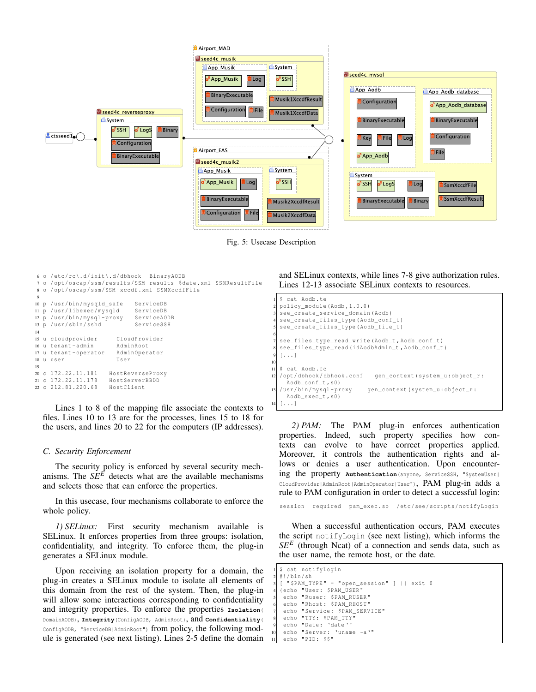

Fig. 5: Usecase Description

```
6 o / etc / rc \. d/ init \. d/ dbhook BinaryAODB
7 o / opt / oscap / ssm / results /SSM - results - $date . xml SSMResultFile
8 o / opt / oscap / ssm /SSM - xccdf . xml SSMXccdfFile
 9
10 p /usr/bin/mysqld_safe ServiceDB<br>11 p /usr/libexec/mvsgld ServiceDB
11 p / usr/libexec/mysqld
12 p / usr / bin / mysql - proxy ServiceAODB
13 p / usr / sbin / sshd ServiceSSH
14
15 u cloudprovider CloudProvider
16 u tenant-admin<br>17 u tenant-operator AdminOperator
17 u tenant-operator
18 u user User
19
20 c 172.22.11.181 HostReverseProxy
21 c 172.22.11.178 HostServerBBDD
22 c 212.81.220.68
```
Lines 1 to 8 of the mapping file associate the contexts to files. Lines 10 to 13 are for the processes, lines 15 to 18 for the users, and lines 20 to 22 for the computers (IP addresses).

#### *C. Security Enforcement*

The security policy is enforced by several security mechanisms. The  $SE^E$  detects what are the available mechanisms and selects those that can enforce the properties.

In this usecase, four mechanisms collaborate to enforce the whole policy.

*1) SELinux:* First security mechanism available is SELinux. It enforces properties from three groups: isolation, confidentiality, and integrity. To enforce them, the plug-in generates a SELinux module.

Upon receiving an isolation property for a domain, the plug-in creates a SELinux module to isolate all elements of this domain from the rest of the system. Then, the plug-in will allow some interactions corresponding to confidentiality and integrity properties. To enforce the properties **Isolation**( DomainAODB), **Integrity**(ConfigAODB, AdminRoot), and **Confidentiality**( ConfigAODB, "ServiceDB|AdminRoot") from policy, the following module is generated (see next listing). Lines 2-5 define the domain and SELinux contexts, while lines 7-8 give authorization rules. Lines 12-13 associate SELinux contexts to resources.

```
cat Aodb.te
  2 policy_module ( Aodb ,1.0.0)
  3 see_create_service_domain ( Aodb )
  4 see_create_files_type ( Aodb_conf_t )
  5 see_create_files_type ( Aodb_file_t )
 6
  see\_files\_type\_read\_write (Aodb_t, Aodb_conf_t)
  8 see_files_type_read ( idAodbAdmin_t , Aodb_conf_t )
 9 [...]
10
11 $ cat Aodb.fc<br>12 /opt/dbhook/dbhook.conf
                                  qen_context (system_u:object_r:
     Aodb_conf_t, s0)
  / usr / bin / mysql - proxy gen_context ( system_u : object_r :
    Aodb_exec_t , s0 )
  [...]
```
*2) PAM:* The PAM plug-in enforces authentication properties. Indeed, such property specifies how contexts can evolve to have correct properties applied. Moreover, it controls the authentication rights and allows or denies a user authentication. Upon encountering the property **Authentication**(anyone, ServiceSSH, "SystemUser| CloudProvider|AdminRoot|AdminOperator|User"), PAM plug-in adds a rule to PAM configuration in order to detect a successful login:

session required pam\_exec.so /etc/see/scripts/notifyLogin

When a successful authentication occurs, PAM executes the script notifyLogin (see next listing), which informs the *SE<sup>E</sup>* (through Ncat) of a connection and sends data, such as the user name, the remote host, or the date.

```
$ cat notifyLogin
  #!/bin / sh
  [ "$PAM_TYPE" = "open_session" ] || exist 04 { echo " User : $PAM_USER "
   echo "Ruser: $PAM_RUSER"
   echo "Rhost: $PAM_RHOST"
   echo " Service: $PAM_SERVICE"
   echo "TTY: $PAM_TTY"
   echo "Date: 'date'"
10 echo "Server: 'uname -a'"
   echo "PID: $$"
```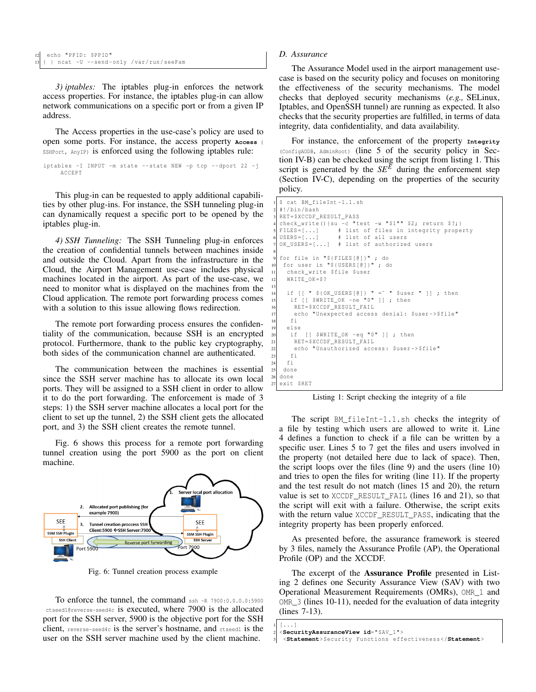*3) iptables:* The iptables plug-in enforces the network access properties. For instance, the iptables plug-in can allow network communications on a specific port or from a given IP address.

The Access properties in the use-case's policy are used to open some ports. For instance, the access property **Access** ( SSHPort, AnyIP) is enforced using the following iptables rule:

```
iptables -I INPUT -m state -- state NEW -p tcp -- dport 22 -j
    ACCEPT
```
This plug-in can be requested to apply additional capabilities by other plug-ins. For instance, the SSH tunneling plug-in can dynamically request a specific port to be opened by the iptables plug-in.

*4) SSH Tunneling:* The SSH Tunneling plug-in enforces the creation of confidential tunnels between machines inside and outside the Cloud. Apart from the infrastructure in the Cloud, the Airport Management use-case includes physical machines located in the airport. As part of the use-case, we need to monitor what is displayed on the machines from the Cloud application. The remote port forwarding process comes with a solution to this issue allowing flows redirection.

The remote port forwarding process ensures the confidentiality of the communication, because SSH is an encrypted protocol. Furthermore, thank to the public key cryptography, both sides of the communication channel are authenticated.

The communication between the machines is essential since the SSH server machine has to allocate its own local ports. They will be assigned to a SSH client in order to allow it to do the port forwarding. The enforcement is made of 3 steps: 1) the SSH server machine allocates a local port for the client to set up the tunnel, 2) the SSH client gets the allocated port, and 3) the SSH client creates the remote tunnel.

Fig. 6 shows this process for a remote port forwarding tunnel creation using the port 5900 as the port on client machine.



Fig. 6: Tunnel creation process example

To enforce the tunnel, the command ssh -R 7900:0.0.0.0:5900 ctseed1@reverse-seed4c is executed, where 7900 is the allocated port for the SSH server, 5900 is the objective port for the SSH client, reverse-seed4c is the server's hostname, and etseed1 is the user on the SSH server machine used by the client machine.

#### *D. Assurance*

The Assurance Model used in the airport management usecase is based on the security policy and focuses on monitoring the effectiveness of the security mechanisms. The model checks that deployed security mechanisms (*e.g.,* SELinux, Iptables, and OpenSSH tunnel) are running as expected. It also checks that the security properties are fulfilled, in terms of data integrity, data confidentiality, and data availability.

For instance, the enforcement of the property **Integrity** (ConfigAODB, AdminRoot) (line 5 of the security policy in Section IV-B) can be checked using the script from listing 1. This script is generated by the  $SE^E$  during the enforcement step (Section IV-C), depending on the properties of the security policy.

```
1 $ cat BM_fileInt -1.1. sh
  2 #!/ bin / bash
  3 RET = $XCCDF_RESULT_PASS
  check_write () { su -c "test -w "$1"" $2; return $?;}
  FILES=[...] # list of files in integrity property<br>USERS=[...] # list of all users
                     # list of all users
  OK_USERS=[...] # list of authorized users
 8
  9 for file in "${ FILES [@ ]} " ; do
   10 for user in "${ USERS [@ ]} " ; do
     check write $file $user
     WRITE_OK = $?13
     if [ [ " $\{OK_USERS [0]\} " = " " $user " ] ; then
15 if [[ $WRITE_OK -ne "0" ]] ; then
       RET=$XCCDF_RESULT_FAIL
17 echo " Unexpected access denial: $user -> $file"
     f_i19 else
20 if [[ $WRITE_OK -eq "0" ]] ; then
21 RET=$XCCDF_RESULT_FAIL
22 echo "Unauthorized access: $user->$file"
23 fi
    f_i25 done
\begin{vmatrix} 26 \\ 27 \end{vmatrix} exit
  exit $RET
```
Listing 1: Script checking the integrity of a file

The script BM fileInt-1.1.sh checks the integrity of a file by testing which users are allowed to write it. Line 4 defines a function to check if a file can be written by a specific user. Lines 5 to 7 get the files and users involved in the property (not detailed here due to lack of space). Then, the script loops over the files (line 9) and the users (line 10) and tries to open the files for writing (line 11). If the property and the test result do not match (lines 15 and 20), the return value is set to XCCDF\_RESULT\_FAIL (lines 16 and 21), so that the script will exit with a failure. Otherwise, the script exits with the return value XCCDF\_RESULT\_PASS, indicating that the integrity property has been properly enforced.

As presented before, the assurance framework is steered by 3 files, namely the Assurance Profile (AP), the Operational Profile (OP) and the XCCDF.

The excerpt of the Assurance Profile presented in Listing 2 defines one Security Assurance View (SAV) with two Operational Measurement Requirements (OMRs), OMR\_1 and OMR\_3 (lines 10-11), needed for the evaluation of data integrity (lines 7-13).

```
2 <SecurityAssuranceView id=" SAV_1 " >
```
 $[ \ldots ]$ 

```
3 <Statement> Security Functions effectiveness </Statement>
```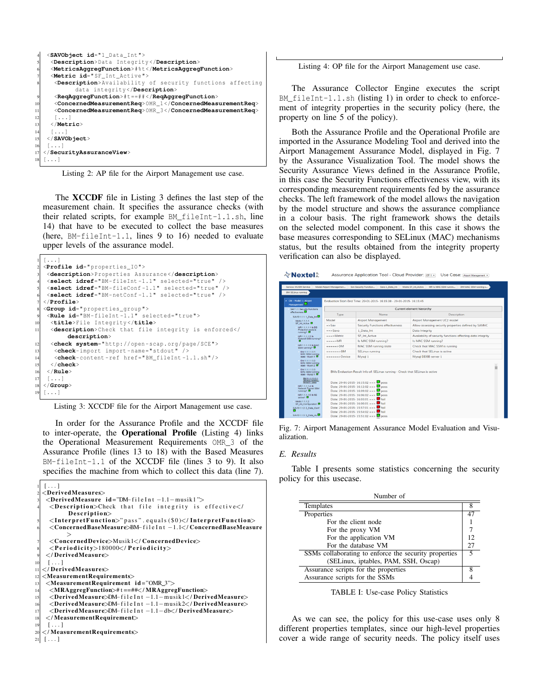```
4 <SAVObject id="1 _Data_Int " >
      5 <Description> Data Integrity </Description>
      6 <MetricsAggregFunction>#% t </MetricsAggregFunction>
      7 <Metric id=" SF_Int_Active " >
       8 <Description> Availability of security functions affecting
                 data integrity </Description>
        9 <ReqAggregFunction>#t ==## </ReqAggregFunction>
        10 <ConcernedMeasurementReq> OMR_1 </ConcernedMeasurementReq>
11 <ConcernedMeasurementReq> OMR_3 </ConcernedMeasurementReq>
\begin{array}{c|c} 12 & \text{[} \dots \text{]} \ \hline 13 & \text{}\end{array}13 </Metric>
\begin{array}{c} 14 \\ 15 \end{array} \begin{array}{c} [\; \ldots \; ] \\ \; < \; / \; \text{SAVC} \end{array}15 </SAVObject>
\begin{array}{c} 16 \ \hline 17 \end{array} < 1 . Secu
   17 </SecurityAssuranceView>
18 \left[ \ldots \right]
```
Listing 2: AP file for the Airport Management use case.

The XCCDF file in Listing 3 defines the last step of the measurement chain. It specifies the assurance checks (with their related scripts, for example BM\_fileInt-1.1.sh, line 14) that have to be executed to collect the base measures (here, BM-fileInt-1.1, lines 9 to 16) needed to evaluate upper levels of the assurance model.

```
1 [...]
  2 <Profile id=" properties_IO " >
    3 <description> Properties Assurance </description>
4 <select idref="BM - fileInt -1.1 " selected =" true " / >
5 <select idref="BM - fileConf -1.1 " selected =" true " / >
    6 <select idref="BM - netConf -1.1 " selected =" true " / >
   7 </Profile>
   8 <Group id=" properties_group " >
    9 <Rule id="BM - fileInt -1.1 " selected =" true " >
     10 <title> File Integrity </title>
11 <description>Check that file integrity is enforced</
           description>
12 <check system="http://open-scap.org/page/SCE"><br>13 <check-import import-name="stdout" />
      <check-import import-name="stdout"
14 <check-content-ref href="BM_fileInt-1.1.sh"/><br>15 </check>
     15 </check>
16 </Rule>
    17 [...]
18 </Group>
19 [...]
```
Listing 3: XCCDF file for the Airport Management use case.

In order for the Assurance Profile and the XCCDF file to inter-operate, the Operational Profile (Listing 4) links the Operational Measurement Requirements OMR\_3 of the Assurance Profile (lines 13 to 18) with the Based Measures BM-fileInt-1.1 of the XCCDF file (lines 3 to 9). It also specifies the machine from which to collect this data (line 7).

```
[ \ldots ]<DerivedMeasures>3 <DerivedMeasure i d="DM−f i l e I n t −1.1−musik1 ">
    <Description>Check that file integrity is effective</
          Description>
    \langleInterpretFunction>" pass". equals ($0)\langle/InterpretFunction>
    6 <ConcernedBaseMeasure>BM−f i l e I n t −1.1</ ConcernedBaseMeasure
          >
    7 <ConcernedDevice>Musik1</ ConcernedDevice>
    <Periodicity>180000</Periodicity>
   9 </ DerivedMeasure>
10 [...]
  </DerivedMeasures>|12| < Measurement Requirements >
   <MeasurementRequirement id="OMR_3">
14 <MRAggregFunction>#t ==##</MRAggregFunction>
    15 <DerivedMeasure>DM−f i l e I n t −1.1−musik1</ DerivedMeasure>
16 <DerivedMeasure>DM−f i l e I n t −1.1−musik2</ DerivedMeasure>
    17 <DerivedMeasure>DM−f i l e I n t −1.1−db</ DerivedMeasure>
_{18} \mid \lt/MeasurementRequirement>19 [ . . . ]
  \overline{<} MeasurementRequirements>21 \mid \ldots \mid
```
Listing 4: OP file for the Airport Management use case.

The Assurance Collector Engine executes the script BM\_fileInt-1.1.sh (listing 1) in order to check to enforcement of integrity properties in the security policy (here, the property on line 5 of the policy).

Both the Assurance Profile and the Operational Profile are imported in the Assurance Modeling Tool and derived into the Airport Management Assurance Model, displayed in Fig. 7 by the Assurance Visualization Tool. The model shows the Security Assurance Views defined in the Assurance Profile, in this case the Security Functions effectiveness view, with its corresponding measurement requirements fed by the assurance checks. The left framework of the model allows the navigation by the model structure and shows the assurance compliance in a colour basis. The right framework shows the details on the selected model component. In this case it shows the base measures corresponding to SELinux (MAC) mechanisms status, but the results obtained from the integrity property verification can also be displayed.

| <b>∛ Nextel</b> ँ                                                                                                                                                                  |                                                                                                                                                                                                                       | Assurance Application Tool - Cloud Provider: CP1 + | Use Case; Airport Management                                         |  |
|------------------------------------------------------------------------------------------------------------------------------------------------------------------------------------|-----------------------------------------------------------------------------------------------------------------------------------------------------------------------------------------------------------------------|----------------------------------------------------|----------------------------------------------------------------------|--|
| Service: MUSIK Service                                                                                                                                                             | Model Airport Managemen                                                                                                                                                                                               | Sav Security Function<br>Savo 1_Data_Int           | DM MAC SSM running s<br>Metric SF_Int_Active<br>MR Is MAC SSM runnin |  |
| <b>BM SELinux running</b>                                                                                                                                                          |                                                                                                                                                                                                                       |                                                    |                                                                      |  |
| - ON - Model 1: Airport<br>Management                                                                                                                                              | Evaluation Start-End Time: 29-01-2015-16:15:38 - 29-01-2015-16:15:45                                                                                                                                                  |                                                    |                                                                      |  |
| SAV 1.1: Security Functions<br>effectiveness <sup>D</sup><br>SAVO 1.1.1:1 Data Int<br>Metric 1.1.1.1:<br>SF Int. Active D<br>MR 1.1.1.1.1: N DB<br>Protection module<br>running? D | Current element hierarchy                                                                                                                                                                                             |                                                    |                                                                      |  |
|                                                                                                                                                                                    | Type                                                                                                                                                                                                                  | Name                                               | Description                                                          |  |
|                                                                                                                                                                                    | Model                                                                                                                                                                                                                 | <b>Airport Management</b>                          | Airport Management UC2 model                                         |  |
|                                                                                                                                                                                    | $=$ > Sav                                                                                                                                                                                                             | <b>Security Functions effectiveness</b>            | Allow assessing security properties defined by SAM4C                 |  |
|                                                                                                                                                                                    | $=$ $=$ $>$ Savo                                                                                                                                                                                                      | 1_Data_Int                                         | Data Integrity                                                       |  |
| MR 1.1.1.1.2: Is                                                                                                                                                                   | $=$ $=$ $>$ Metric                                                                                                                                                                                                    | <b>SF Int Active</b>                               | Availability of security functions affecting data integrity          |  |
| Firewall SSM running?                                                                                                                                                              | $---MR$                                                                                                                                                                                                               | Is MAC SSM running?                                | Is MAC SSM running?                                                  |  |
| MR 1.1.1.1.3: Is MAC<br>SSM running?                                                                                                                                               | $m = m = D$ M                                                                                                                                                                                                         | <b>MAC SSM running state</b>                       | Check that MAC SSM is running                                        |  |
| DM 1.1.1.1.3.1:<br><b>MAC SSM running</b><br>state - Musik 1 D                                                                                                                     | $m + m + m + > BM$                                                                                                                                                                                                    | <b>SELinux running</b>                             | Check that SELinux is active                                         |  |
|                                                                                                                                                                                    | $m = m = m = 5$ Device                                                                                                                                                                                                | Mysal 1                                            | Mysal DDBB server 1                                                  |  |
| DM 1.1.1.1.3.2:<br><b>MAC SSM running</b><br>state - Musik 2 D                                                                                                                     |                                                                                                                                                                                                                       |                                                    | ô                                                                    |  |
| DM 1.1.1.1.3.3:<br><b>MAC SSM running</b><br>state - Mysql 1 D                                                                                                                     | BMs Evaluation Result Info of: SELinux running - Check that SELinux is active<br>Date: 29-01-2015-16:15:02 ==> $\Box$ pass<br>Date: 29-01-2015-16:12:02 ==> $\Box$ pass<br>Date: 29-01-2015-16:09:02 == > $\Box$ pass |                                                    |                                                                      |  |
| BM 1.1.1.1.3.3.1;<br>SELinux running -<br>Mysol 1 - pess                                                                                                                           |                                                                                                                                                                                                                       |                                                    |                                                                      |  |
| MR 1.1.1.1.4: Is<br>Network Tunnel SSM<br>running? D                                                                                                                               |                                                                                                                                                                                                                       |                                                    |                                                                      |  |
| MR 1.1.1.1.5: Is SE<br>active?                                                                                                                                                     | Date: 29-01-2015-16:06:02 == > $\Box$ pass<br>Date: 29-01-2015-16:03:01 ==> $\Box$ fail<br>Date: 29-01-2015-16:00:01 ==>                                                                                              |                                                    |                                                                      |  |
| Metric 1.1.1.2:                                                                                                                                                                    |                                                                                                                                                                                                                       |                                                    |                                                                      |  |
| SF Int Configuration D<br>SAVO 1.1.2: 2 Data Conf                                                                                                                                  | Date: 29-01-2015-15:57:01 ==>                                                                                                                                                                                         | $-$ fail<br>$I$ fail                               |                                                                      |  |
| o                                                                                                                                                                                  | Date: 29-01-2015-15:54:02 ==>                                                                                                                                                                                         | $I$ fail                                           |                                                                      |  |
| SAVO 1.1.3: 3 Data Av                                                                                                                                                              |                                                                                                                                                                                                                       | Date: 29-01-2015-15:51:02 ==> $\Box$ pass          |                                                                      |  |

Fig. 7: Airport Management Assurance Model Evaluation and Visualization.

### *E. Results*

Table I presents some statistics concerning the security policy for this usecase.

| Number of                                             |    |  |  |
|-------------------------------------------------------|----|--|--|
| Templates                                             |    |  |  |
| Properties                                            |    |  |  |
| For the client node                                   |    |  |  |
| For the proxy VM                                      |    |  |  |
| For the application VM                                |    |  |  |
| For the database VM                                   | 27 |  |  |
| SSMs collaborating to enforce the security properties |    |  |  |
| (SELinux, iptables, PAM, SSH, Oscap)                  |    |  |  |
| Assurance scripts for the properties                  |    |  |  |
| Assurance scripts for the SSMs                        |    |  |  |

TABLE I: Use-case Policy Statistics

As we can see, the policy for this use-case uses only 8 different properties templates, since our high-level properties cover a wide range of security needs. The policy itself uses